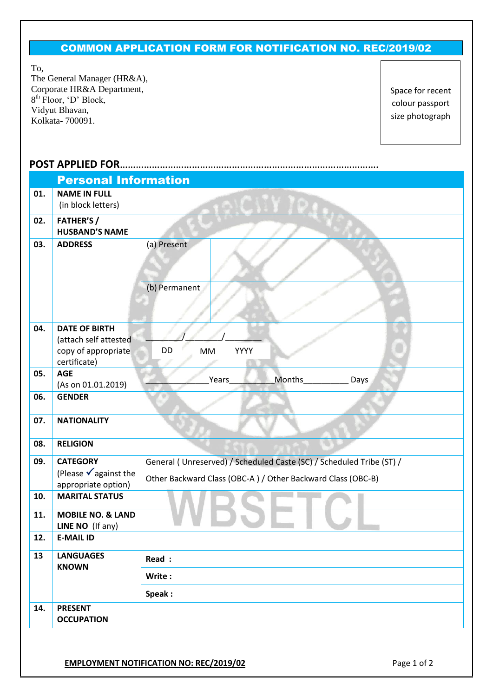## COMMON APPLICATION FORM FOR NOTIFICATION NO. REC/2019/02

To,

The General Manager (HR&A), Corporate HR&A Department, 8<sup>th</sup> Floor, 'D' Block, Vidyut Bhavan, Kolkata- 700091.

Space for recent colour passport size photograph

## **POST APPLIED FOR**…………………………………………………………………………………….

|     | <b>Personal Information</b>                           |                                                                      |  |  |  |  |  |
|-----|-------------------------------------------------------|----------------------------------------------------------------------|--|--|--|--|--|
| 01. | <b>NAME IN FULL</b>                                   |                                                                      |  |  |  |  |  |
|     | (in block letters)                                    |                                                                      |  |  |  |  |  |
| 02. | <b>FATHER'S /</b><br><b>HUSBAND'S NAME</b>            |                                                                      |  |  |  |  |  |
| 03. | <b>ADDRESS</b>                                        | (a) Present                                                          |  |  |  |  |  |
|     |                                                       |                                                                      |  |  |  |  |  |
|     |                                                       | (b) Permanent                                                        |  |  |  |  |  |
|     |                                                       |                                                                      |  |  |  |  |  |
| 04. | <b>DATE OF BIRTH</b>                                  |                                                                      |  |  |  |  |  |
|     | (attach self attested<br>copy of appropriate          | DD<br>YYYY<br>MM                                                     |  |  |  |  |  |
|     | certificate)                                          |                                                                      |  |  |  |  |  |
| 05. | <b>AGE</b>                                            |                                                                      |  |  |  |  |  |
|     | (As on 01.01.2019)                                    | Months___________<br>Years<br>Days                                   |  |  |  |  |  |
| 06. | <b>GENDER</b>                                         |                                                                      |  |  |  |  |  |
| 07. | <b>NATIONALITY</b>                                    |                                                                      |  |  |  |  |  |
| 08. | <b>RELIGION</b>                                       |                                                                      |  |  |  |  |  |
| 09. | <b>CATEGORY</b>                                       | General (Unreserved) / Scheduled Caste (SC) / Scheduled Tribe (ST) / |  |  |  |  |  |
|     | (Please $\sqrt{ }$ against the<br>appropriate option) | Other Backward Class (OBC-A) / Other Backward Class (OBC-B)          |  |  |  |  |  |
| 10. | <b>MARITAL STATUS</b>                                 |                                                                      |  |  |  |  |  |
| 11. | <b>MOBILE NO. &amp; LAND</b><br>LINE NO (If any)      |                                                                      |  |  |  |  |  |
| 12. | <b>E-MAIL ID</b>                                      |                                                                      |  |  |  |  |  |
| 13  | <b>LANGUAGES</b>                                      | Read :                                                               |  |  |  |  |  |
|     | <b>KNOWN</b>                                          | Write:                                                               |  |  |  |  |  |
|     |                                                       | Speak:                                                               |  |  |  |  |  |
| 14. | <b>PRESENT</b>                                        |                                                                      |  |  |  |  |  |
|     | <b>OCCUPATION</b>                                     |                                                                      |  |  |  |  |  |
|     |                                                       |                                                                      |  |  |  |  |  |